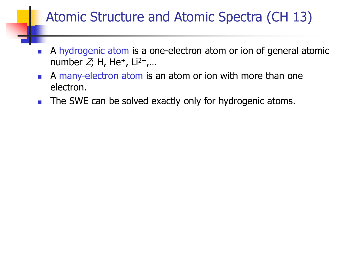# Atomic Structure and Atomic Spectra (CH 13)

- A hydrogenic atom is a one-electron atom or ion of general atomic number  $Z_i$ , H, He<sup>+</sup>, Li<sup>2+</sup>,...
- A many-electron atom is an atom or ion with more than one electron.
- **The SWE can be solved exactly only for hydrogenic atoms.**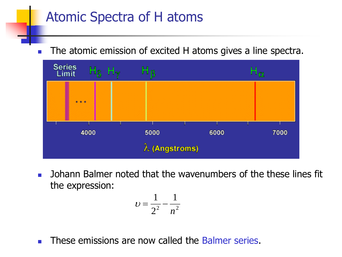The atomic emission of excited H atoms gives a line spectra.



**Johann Balmer noted that the wavenumbers of the these lines fit** the expression:

$$
v=\frac{1}{2^2}-\frac{1}{n^2}
$$

**These emissions are now called the Balmer series.**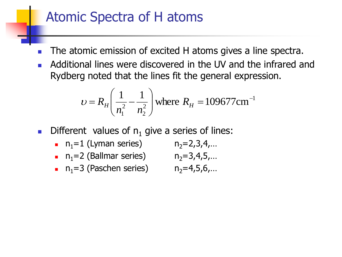- The atomic emission of excited H atoms gives a line spectra.
- Additional lines were discovered in the UV and the infrared and Rydberg noted that the lines fit the general expression.

$$
\upsilon = R_H \left( \frac{1}{n_1^2} - \frac{1}{n_2^2} \right)
$$
 where  $R_H = 109677 \text{cm}^{-1}$ 

- **Different values of**  $n_1$  **give a series of lines:** 
	- **n**<sub>1</sub>=1 (Lyman series)  $n_2=2,3,4,...$ n<sub>1</sub>=2 (Ballmar series)  $n_2=3,4,5,...$
	- **n**<sub>1</sub>=3 (Paschen series)  $n_2=4,5,6,...$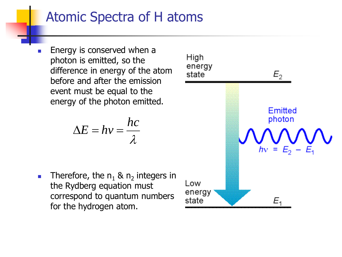Energy is conserved when a photon is emitted, so the difference in energy of the atom before and after the emission event must be equal to the energy of the photon emitted.

$$
\Delta E = hv = \frac{hc}{\lambda}
$$

**Therefore, the**  $n_1$  **&**  $n_2$  **integers in** the Rydberg equation must correspond to quantum numbers for the hydrogen atom.

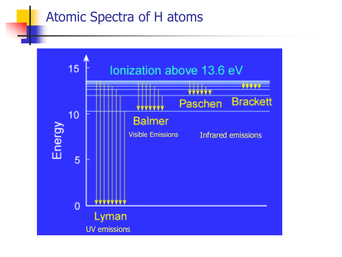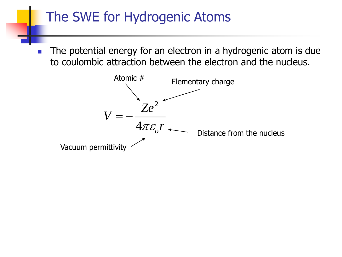# The SWE for Hydrogenic Atoms

 The potential energy for an electron in a hydrogenic atom is due to coulombic attraction between the electron and the nucleus.

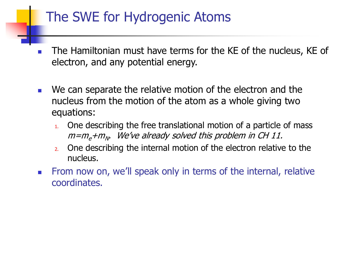# The SWE for Hydrogenic Atoms

- The Hamiltonian must have terms for the KE of the nucleus, KE of electron, and any potential energy.
- **Notally** We can separate the relative motion of the electron and the nucleus from the motion of the atom as a whole giving two equations:
	- $1.$  One describing the free translational motion of a particle of mass m=m<sub>e</sub>+m<sub>N</sub>. We've already solved this problem in CH 11.
	- 2. One describing the internal motion of the electron relative to the nucleus.
- **From now on, we'll speak only in terms of the internal, relative** coordinates.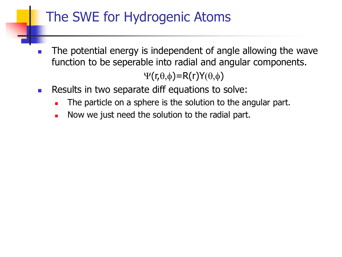# The SWE for Hydrogenic Atoms

 The potential energy is independent of angle allowing the wave function to be seperable into radial and angular components.

 $\Psi(r,\theta,\phi)=R(r)Y(\theta,\phi)$ 

- Results in two separate diff equations to solve:
	- The particle on a sphere is the solution to the angular part.
	- Now we just need the solution to the radial part.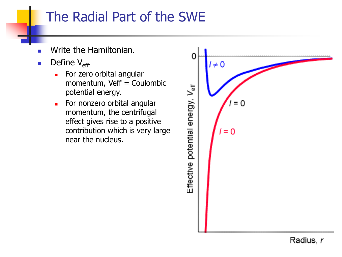# The Radial Part of the SWE

- Write the Hamiltonian.
- **Define**  $V_{\text{eff}}$ **.** 
	- **For zero orbital angular** momentum, Veff = Coulombic potential energy.
	- For nonzero orbital angular momentum, the centrifugal effect gives rise to a positive contribution which is very large near the nucleus.

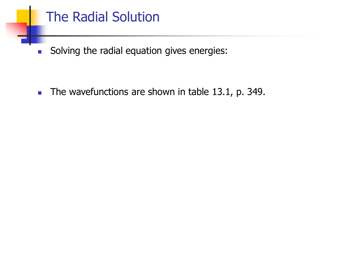# The Radial Solution

Solving the radial equation gives energies:

The wavefunctions are shown in table 13.1, p. 349.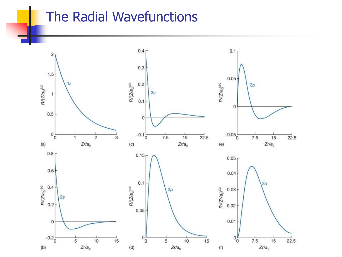#### The Radial Wavefunctions

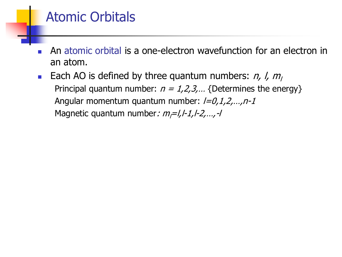## Atomic Orbitals

- An atomic orbital is a one-electron wavefunction for an electron in an atom.
- **Each AO** is defined by three quantum numbers:  $n$ ,  $l$ ,  $m$ Principal quantum number:  $n = 1, 2, 3, ...$  {Determines the energy} Angular momentum quantum number:  $l=0,1,2,...,n-1$ Magnetic quantum number:  $m_l = l, l-1, l-2, \ldots, -l$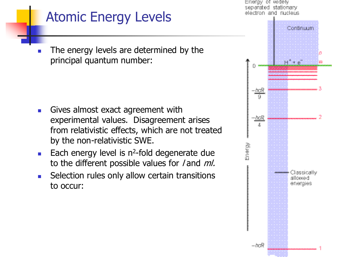# Atomic Energy Levels

 The energy levels are determined by the principal quantum number:

- Gives almost exact agreement with experimental values. Disagreement arises from relativistic effects, which are not treated by the non-relativistic SWE.
- Each energy level is  $n^2$ -fold degenerate due to the different possible values for  $/$  and  $ml$ .
- **Selection rules only allow certain transitions** to occur:

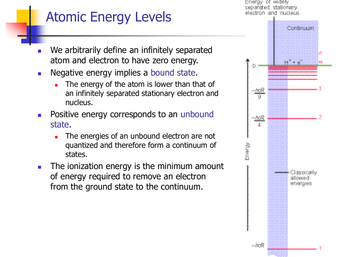Energy of widely separated stationary.

# Atomic Energy Levels

- We arbitrarily define an infinitely separated atom and electron to have zero energy.
- Negative energy implies a bound state.
	- The energy of the atom is lower than that of an infinitely separated stationary electron and nucleus.
- **Positive energy corresponds to an unbound** state.
	- The energies of an unbound electron are not quantized and therefore form a continuum of states.
- **The ionization energy is the minimum amount** of energy required to remove an electron from the ground state to the continuum.

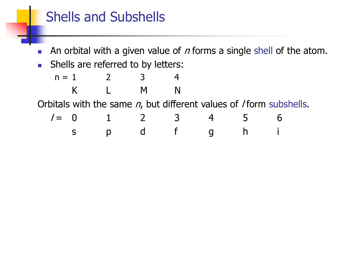## Shells and Subshells

- An orbital with a given value of  $n$  forms a single shell of the atom.
- **Shells are referred to by letters:**

 $n = 1$  2 3 4 K L M N Orbitals with the same  $n$ , but different values of / form subshells.

| $I = 0$ | 1 | 2 | 3 | 4 | 5 | 6 |
|---------|---|---|---|---|---|---|
| s       | p | d | f | g | h | i |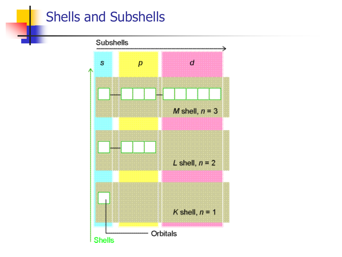### Shells and Subshells

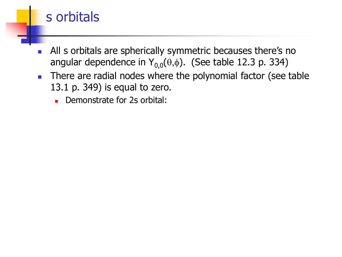#### s orbitals

- **All s orbitals are spherically symmetric becauses there's no** angular dependence in  $Y_{0,0}(\theta,\phi)$ . (See table 12.3 p. 334)
- There are radial nodes where the polynomial factor (see table 13.1 p. 349) is equal to zero.
	- Demonstrate for 2s orbital: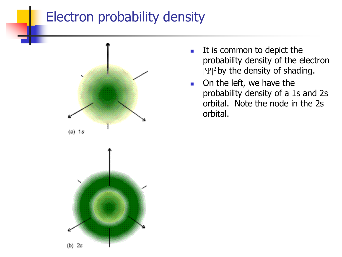## Electron probability density



- $\blacksquare$  It is common to depict the probability density of the electron  $|\Psi|^2$  by the density of shading.
- On the left, we have the probability density of a 1s and 2s orbital. Note the node in the 2s orbital.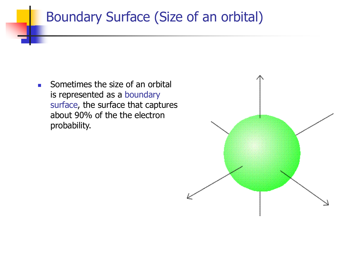## Boundary Surface (Size of an orbital)

**Sometimes the size of an orbital** is represented as a boundary surface, the surface that captures about 90% of the the electron probability.

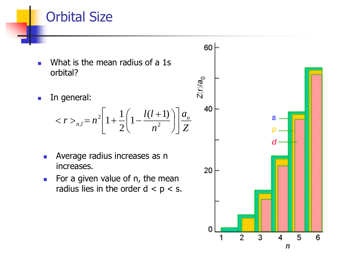#### Orbital Size

- What is the mean radius of a 1s orbital?
- **In general:**

$$
\langle r \rangle_{n,l} = n^2 \left[ 1 + \frac{1}{2} \left( 1 - \frac{l(l+1)}{n^2} \right) \right] \frac{a_o}{Z}
$$

- **Average radius increases as n** increases.
- For a given value of  $n$ , the mean radius lies in the order  $d < p < s$ .

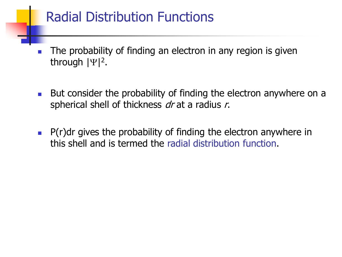# Radial Distribution Functions

- The probability of finding an electron in any region is given through  $|\Psi|^2$ .
- **But consider the probability of finding the electron anywhere on a** spherical shell of thickness  $dr$  at a radius r.
- $\blacksquare$  P(r)dr gives the probability of finding the electron anywhere in this shell and is termed the radial distribution function.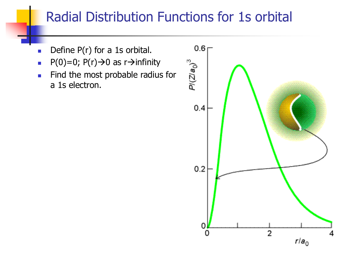# Radial Distribution Functions for 1s orbital

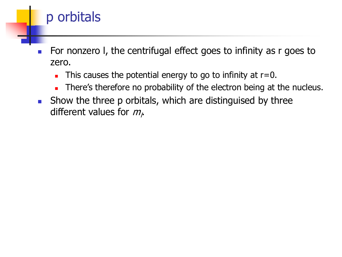

This causes the potential energy to go to infinity at  $r=0$ .

p orbitals

- There's therefore no probability of the electron being at the nucleus.
- **Show the three p orbitals, which are distinguised by three** different values for  $m_{\mu}$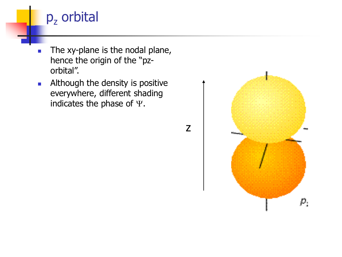

- The xy-plane is the nodal plane, hence the origin of the "pzorbital".
- **Although the density is positive** everywhere, different shading indicates the phase of  $\Psi$ .



 $\rho_{_j}$ 

z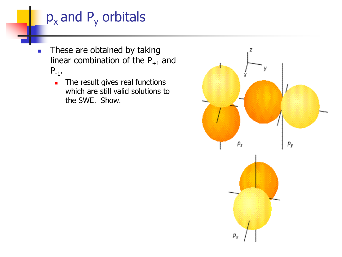# $p_x$  and  $P_y$  orbitals

- **These are obtained by taking** linear combination of the  $P_{+1}$  and  $P_{-1}$ .
	- The result gives real functions which are still valid solutions to the SWE. Show.

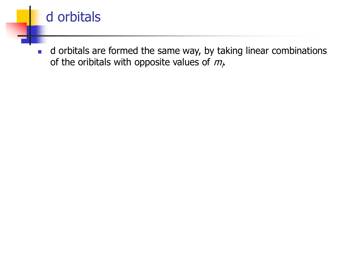

d orbitals are formed the same way, by taking linear combinations of the oribitals with opposite values of  $m_{\mu}$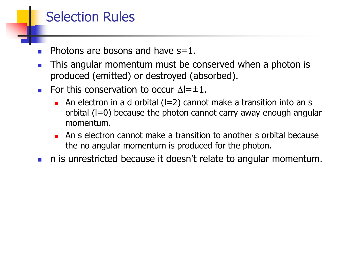# Selection Rules

- Photons are bosons and have s=1.
- **This angular momentum must be conserved when a photon is** produced (emitted) or destroyed (absorbed).
- For this conservation to occur  $\Delta=\pm 1$ .
	- An electron in a d orbital  $(I=2)$  cannot make a transition into an s orbital  $(I=0)$  because the photon cannot carry away enough angular momentum.
	- An s electron cannot make a transition to another s orbital because the no angular momentum is produced for the photon.
- n is unrestricted because it doesn't relate to angular momentum.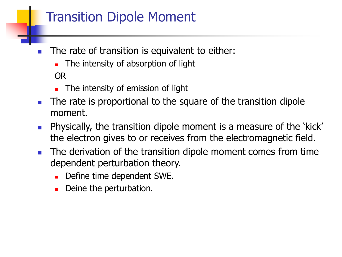# Transition Dipole Moment

- The rate of transition is equivalent to either:
	- **The intensity of absorption of light** OR
	- **The intensity of emission of light**
- **The rate is proportional to the square of the transition dipole** moment.
- **Physically, the transition dipole moment is a measure of the 'kick'** the electron gives to or receives from the electromagnetic field.
- The derivation of the transition dipole moment comes from time dependent perturbation theory.
	- Define time dependent SWE.
	- Deine the perturbation.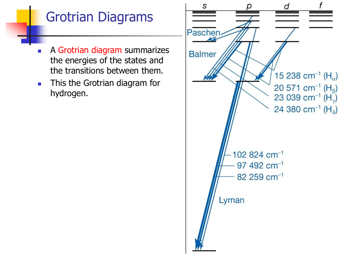# Grotrian Diagrams

- A Grotrian diagram summarizes the energies of the states and the transitions between them.
- **This the Grotrian diagram for** hydrogen.

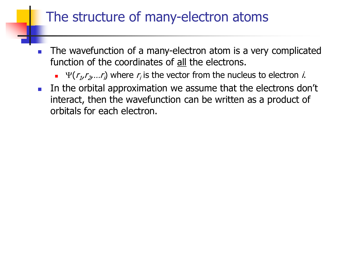## The structure of many-electron atoms

- The wavefunction of a many-electron atom is a very complicated function of the coordinates of all the electrons.
	- $\Psi(r_1, r_2, \ldots r_i)$  where  $r_i$  is the vector from the nucleus to electron *i*.
- In the orbital approximation we assume that the electrons don't interact, then the wavefunction can be written as a product of orbitals for each electron.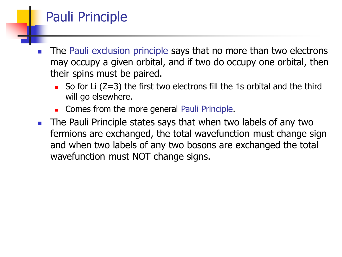# Pauli Principle

- The Pauli exclusion principle says that no more than two electrons may occupy a given orbital, and if two do occupy one orbital, then their spins must be paired.
	- So for Li  $(Z=3)$  the first two electrons fill the 1s orbital and the third will go elsewhere.
	- Comes from the more general Pauli Principle.
- **The Pauli Principle states says that when two labels of any two** fermions are exchanged, the total wavefunction must change sign and when two labels of any two bosons are exchanged the total wavefunction must NOT change signs.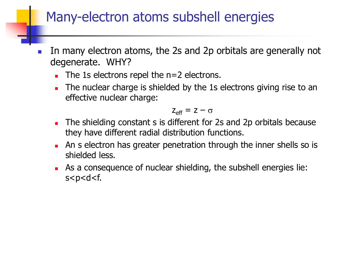## Many-electron atoms subshell energies

- In many electron atoms, the 2s and 2p orbitals are generally not degenerate. WHY?
	- $\blacksquare$  The 1s electrons repel the n=2 electrons.
	- The nuclear charge is shielded by the 1s electrons giving rise to an effective nuclear charge:

$$
z_{\text{eff}} = z - \sigma
$$

- The shielding constant s is different for 2s and 2p orbitals because they have different radial distribution functions.
- **An s electron has greater penetration through the inner shells so is** shielded less.
- As a consequence of nuclear shielding, the subshell energies lie: s<p<d<f.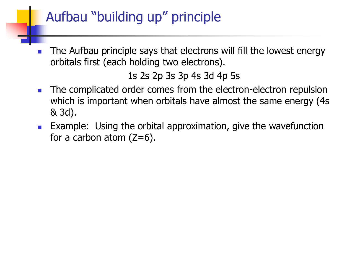# Aufbau "building up" principle

 The Aufbau principle says that electrons will fill the lowest energy orbitals first (each holding two electrons).

1s 2s 2p 3s 3p 4s 3d 4p 5s

- The complicated order comes from the electron-electron repulsion which is important when orbitals have almost the same energy (4s & 3d).
- **EXample: Using the orbital approximation, give the wavefunction** for a carbon atom  $(Z=6)$ .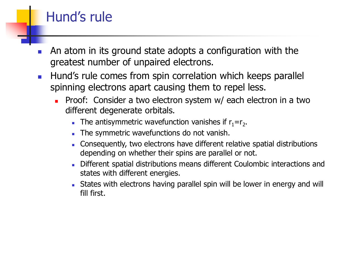# Hund's rule

- An atom in its ground state adopts a configuration with the greatest number of unpaired electrons.
- **Hund's rule comes from spin correlation which keeps parallel** spinning electrons apart causing them to repel less.
	- **Proof:** Consider a two electron system w/ each electron in a two different degenerate orbitals.
		- The antisymmetric wavefunction vanishes if  $r_1 = r_2$ .
		- The symmetric wavefunctions do not vanish.
		- Consequently, two electrons have different relative spatial distributions depending on whether their spins are parallel or not.
		- Different spatial distributions means different Coulombic interactions and states with different energies.
		- States with electrons having parallel spin will be lower in energy and will fill first.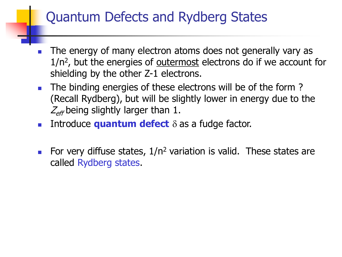# Quantum Defects and Rydberg States

- The energy of many electron atoms does not generally vary as 1/n<sup>2</sup>, but the energies of <u>outermost</u> electrons do if we account for shielding by the other Z-1 electrons.
- The binding energies of these electrons will be of the form? (Recall Rydberg), but will be slightly lower in energy due to the  $Z_{\text{eff}}$  being slightly larger than 1.
- **Introduce quantum defect**  $\delta$  as a fudge factor.
- For very diffuse states,  $1/n^2$  variation is valid. These states are called Rydberg states.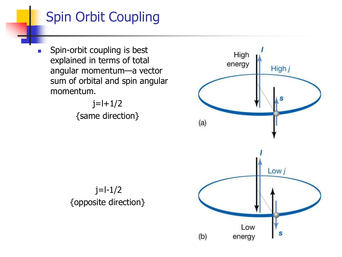# Spin Orbit Coupling

**Spin-orbit coupling is best** explained in terms of total angular momentum—a vector sum of orbital and spin angular momentum.

> $j=l+1/2$ {same direction}



 $j=l-1/2$ {opposite direction}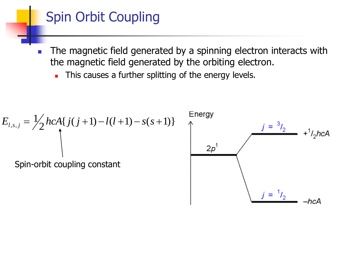# Spin Orbit Coupling

- **The magnetic field generated by a spinning electron interacts with** the magnetic field generated by the orbiting electron.
	- This causes a further splitting of the energy levels.

$$
E_{l,s,j} = \frac{1}{2} hcA\{j(j+1) - l(l+1) - s(s+1)\}
$$
  
Spin-orbit coupling constant  

$$
2p^1
$$
  

$$
j = \frac{3}{2} + \frac{1}{2} hcA
$$
  

$$
2p^1
$$
  

$$
j = \frac{1}{2}
$$
  
4  
–*hcA*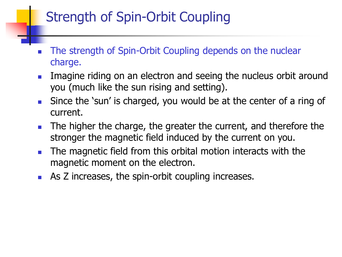# Strength of Spin-Orbit Coupling

- The strength of Spin-Orbit Coupling depends on the nuclear charge.
- **IMAGO** Imagine riding on an electron and seeing the nucleus orbit around you (much like the sun rising and setting).
- Since the 'sun' is charged, you would be at the center of a ring of current.
- **The higher the charge, the greater the current, and therefore the** stronger the magnetic field induced by the current on you.
- **The magnetic field from this orbital motion interacts with the** magnetic moment on the electron.
- **As Z increases, the spin-orbit coupling increases.**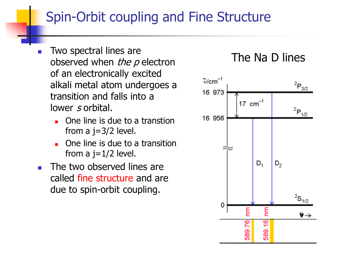# Spin-Orbit coupling and Fine Structure

- Two spectral lines are observed when  $the$   $p$  electron of an electronically excited alkali metal atom undergoes a transition and falls into a lower s orbital.
	- **One line is due to a transtion** from a  $j=3/2$  level.
	- One line is due to a transition from a  $j=1/2$  level.
- **The two observed lines are** called fine structure and are due to spin-orbit coupling.

#### The Na D lines

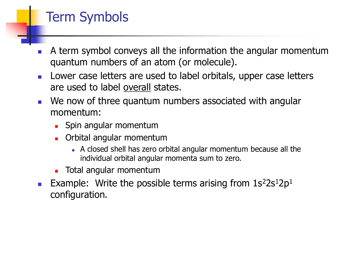# Term Symbols

- A term symbol conveys all the information the angular momentum quantum numbers of an atom (or molecule).
- **Lower case letters are used to label orbitals, upper case letters** are used to label overall states.
- **Notaklary 1.5 Novembers** associated with angular momentum:
	- **Spin angular momentum**
	- **Drital angular momentum** 
		- A closed shell has zero orbital angular momentum because all the individual orbital angular momenta sum to zero.
	- **Total angular momentum**
- **Example:** Write the possible terms arising from  $1s<sup>2</sup>2s<sup>1</sup>2p<sup>1</sup>$ configuration.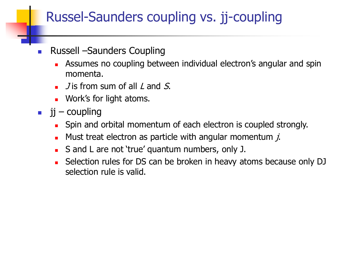# Russel-Saunders coupling vs. jj-coupling

#### Russell –Saunders Coupling

- Assumes no coupling between individual electron's angular and spin momenta.
- $\blacksquare$  J is from sum of all L and S.
- **Nork's for light atoms.**
- $\blacksquare$  jj coupling
	- **Spin and orbital momentum of each electron is coupled strongly.**
	- Must treat electron as particle with angular momentum  $\dot{\mathbf{z}}$ .
	- S and L are not 'true' quantum numbers, only J.
	- Selection rules for DS can be broken in heavy atoms because only DJ selection rule is valid.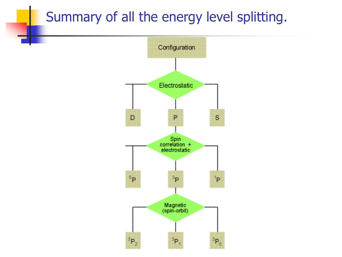## Summary of all the energy level splitting.

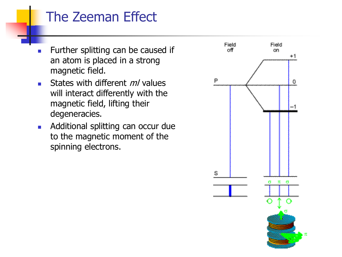## The Zeeman Effect

- **Further splitting can be caused if** an atom is placed in a strong magnetic field.
- States with different  $m/$  values will interact differently with the magnetic field, lifting their degeneracies.
- **Additional splitting can occur due** to the magnetic moment of the spinning electrons.

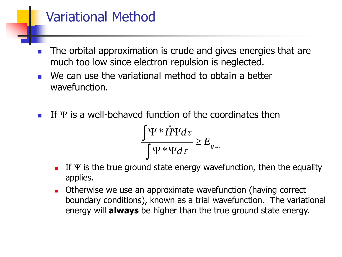### Variational Method

- The orbital approximation is crude and gives energies that are much too low since electron repulsion is neglected.
- We can use the variational method to obtain a better wavefunction.
- If  $\Psi$  is a well-behaved function of the coordinates then

$$
\frac{\int \Psi * \hat{H} \Psi d\tau}{\int \Psi * \Psi d\tau} \ge E_{g.s.}
$$

- If  $\Psi$  is the true ground state energy wavefunction, then the equality applies.
- **D** Otherwise we use an approximate wavefunction (having correct boundary conditions), known as a trial wavefunction. The variational energy will **always** be higher than the true ground state energy.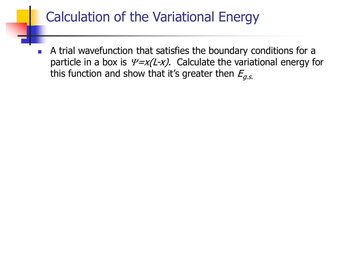# Calculation of the Variational Energy

 A trial wavefunction that satisfies the boundary conditions for a particle in a box is  $\frac{\psi}{x}(L-x)$ . Calculate the variational energy for this function and show that it's greater then  $E_{a.s.}$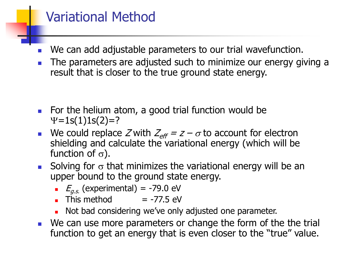### Variational Method

- We can add adjustable parameters to our trial wavefunction.
- The parameters are adjusted such to minimize our energy giving a result that is closer to the true ground state energy.

- For the helium atom, a good trial function would be  $Y=1s(1)1s(2)=?$
- We could replace Z with  $Z_{\text{eff}} = z \sigma$  to account for electron shielding and calculate the variational energy (which will be function of  $\sigma$ ).
- Solving for  $\sigma$  that minimizes the variational energy will be an upper bound to the ground state energy.
	- $E_{g.s.}$  (experimental) = -79.0 eV
	- $\blacksquare$  This method  $\blacksquare$  -77.5 eV
	- Not bad considering we've only adjusted one parameter.
- **We can use more parameters or change the form of the the trial** function to get an energy that is even closer to the "true" value.